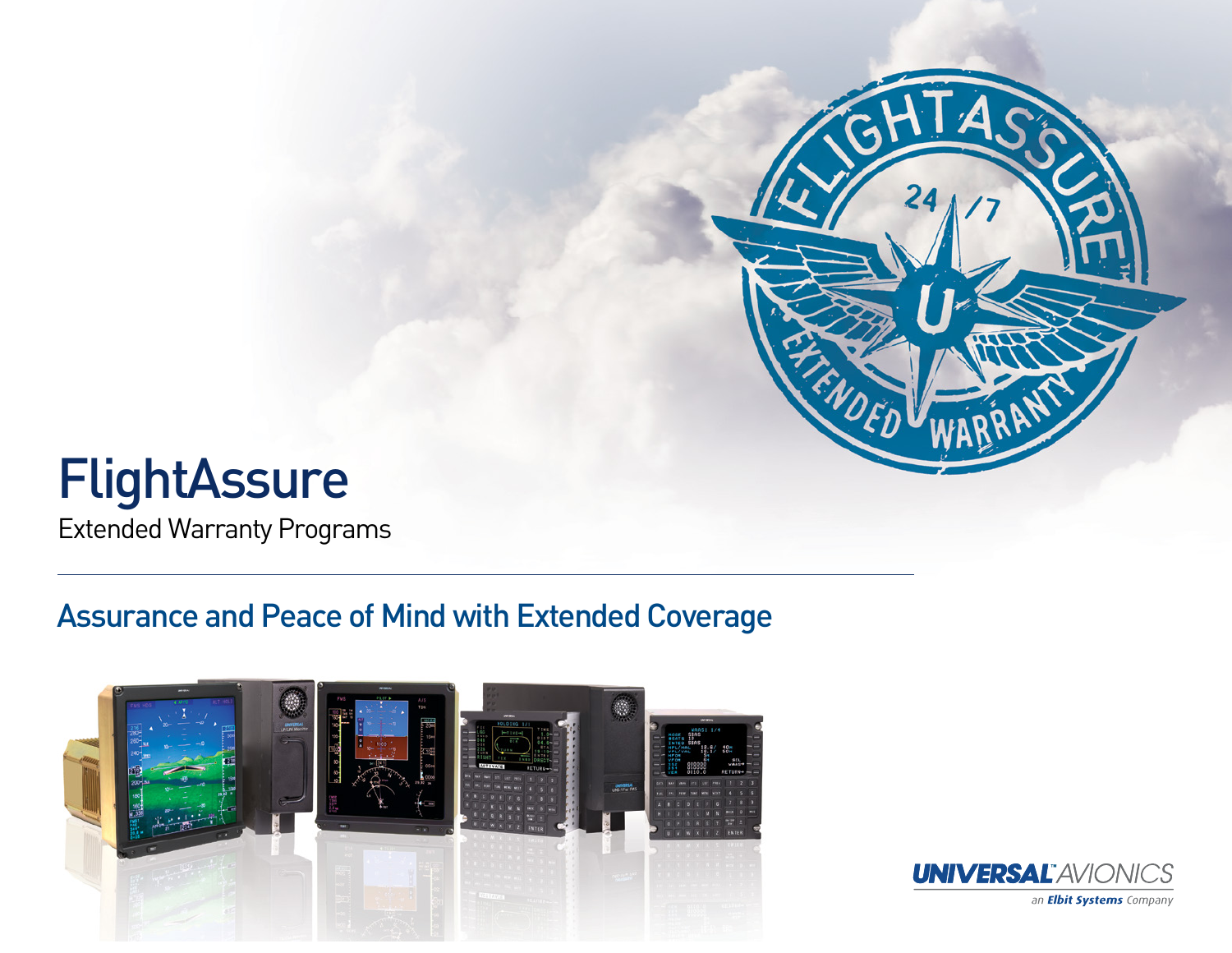

## **FlightAssure**

Extended Warranty Programs

## Assurance and Peace of Mind with Extended Coverage